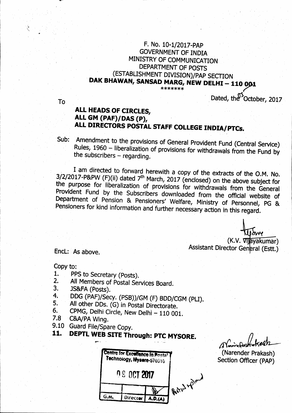## F. No. 10-1/2017-PAP **GOVERNMENT OF INDIA** MINISTRY OF COMMUNICATION DEPARTMENT OF POSTS (ESTABLISHMENT DIVISION)/PAP SECTION DAK BHAWAN, SANSAD MARG, NEW DELHI - 110 001 \*\*\*\*\*\*\*

To

# Dated, the October, 2017

# ALL HEADS OF CIRCLES, ALL GM (PAF)/DAS (P), ALL DIRECTORS POSTAL STAFF COLLEGE INDIA/PTCs.

Sub: Amendment to the provisions of General Provident Fund (Central Service) Rules, 1960 - liberalization of provisions for withdrawals from the Fund by the subscribers  $-$  regarding.

I am directed to forward herewith a copy of the extracts of the O.M. No.  $3/2/2017$ -P&PW (F)(ii) dated  $7<sup>th</sup>$  March, 2017 (enclosed) on the above subject for the purpose for liberalization of provisions for withdrawals from the General Provident Fund by the Subscribers downloaded from the official website of Department of Pension & Pensioners' Welfare, Ministry of Personnel, PG & Pensioners for kind information and further necessary action in this regard.

> (K.V. Vijayakumar) Assistant Director General (Estt.)

Encl: As above.

Copy to:

- PPS to Secretary (Posts). 1.
- All Members of Postal Services Board.  $2.$
- 3. JS&FA (Posts).
- DDG (PAF)/Secy. (PSB))/GM (F) BDD/CGM (PLI).  $4.$
- All other DDs. (G) in Postal Directorate. 5.
- CPMG, Delhi Circle, New Delhi 110 001.  $6.$
- $7.8^\circ$ C&A/PA Wing.
- 9.10 Guard File/Spare Copy. 11.

# DEPTL WEB SITE Through: PTC MYSORE.

**Centre for Excellence in Postal** Technology, Mysere-570010 09 007 2017 Boral your G.M. Director  $A.D.(A)$ 

(Narender Prakash) Section Officer (PAP)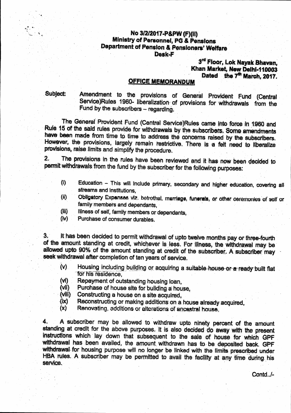### No 3/2/2017-P&PW (F)(II) Ministry of Personnel, PG & Pensions Department of Pension & Pensioners' Welfare Desk-F

## 3rd Floor, Lok Nayak Bhavan, Khan Market, New Delhi-110003 Dated the 7<sup>th</sup> March, 2017.

### **OFFICE MEMORANDUM**

Subject:

Amendment to the provisions of General Provident Fund (Central Service)Rules 1960- liberalization of provisions for withdrawals from the Fund by the subscribers - regarding.

The General Provident Fund (Central Service)Rules came into force in 1960 and Rule 15 of the said rules provide for withdrawals by the subscribers. Some amendments have been made from time to time to address the concerns raised by the subscribers. However, the provisions, largely remain restrictive. There is a felt need to liberalize provisions, raise limits and simplify the procedure.

The provisions in the rules have been reviewed and it has now been decided to  $\overline{2}$ . permit withdrawals from the fund by the subscriber for the following purposes:

- Education This will include primary, secondary and higher education, covering all  $\ddot{\theta}$ streams and institutions.
- Obligatory Expenses viz. betrothal, marriage, funerals, or other ceremonies of self or  $(ii)$ family members and dependants.
- $(iii)$ Illness of self, family members or dependants,
- $(iv)$ Purchase of consumer durables.

It has been decided to permit withdrawal of upto twelve months pay or three-fourth  $3.$ of the amount standing at credit, whichever is less. For illness, the withdrawal may be allowed upto 90% of the amount standing at credit of the subscriber. A subscriber may seek withdrawal after completion of ten years of service.

- Housing including building or acquiring a suitable house or a ready built flat  $(v)$ for his residence.
- Repayment of outstanding housing loan,  $(v)$
- Purchase of house site for building a house, (Wii)
- $(VIII)$ Constructing a house on a site acquired.
- Reconstructing or making additions on a house already acquired.  $(ix)$
- $(x)$ Renovating, additions or alterations of ancestral house,

A subscriber may be allowed to withdraw upto ninety percent of the amount  $4.$ standing at credit for the above purposes. It is also decided do away with the present instructions which lay down that subsequent to the sale of house for which GPF withdrawal has been availed, the amount withdrawn has to be deposited back. GPF withdrawal for housing purpose will no longer be linked with the limits prescribed under HBA rules. A subscriber may be permitted to avail the facility at any time during his service.